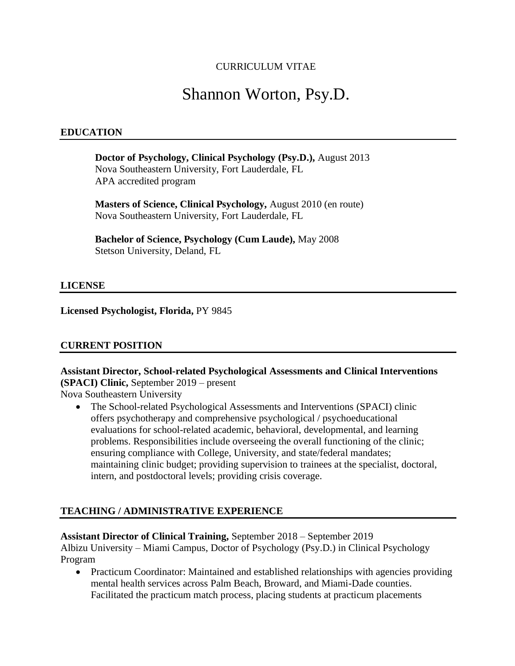### CURRICULUM VITAE

# Shannon Worton, Psy.D.

#### **EDUCATION**

**Doctor of Psychology, Clinical Psychology (Psy.D.),** August 2013 Nova Southeastern University, Fort Lauderdale, FL APA accredited program

**Masters of Science, Clinical Psychology,** August 2010 (en route) Nova Southeastern University, Fort Lauderdale, FL

**Bachelor of Science, Psychology (Cum Laude),** May 2008 Stetson University, Deland, FL

#### **LICENSE**

**Licensed Psychologist, Florida,** PY 9845

#### **CURRENT POSITION**

## **Assistant Director, School-related Psychological Assessments and Clinical Interventions (SPACI) Clinic,** September 2019 – present

Nova Southeastern University

• The School-related Psychological Assessments and Interventions (SPACI) clinic offers psychotherapy and comprehensive psychological / psychoeducational evaluations for school-related academic, behavioral, developmental, and learning problems. Responsibilities include overseeing the overall functioning of the clinic; ensuring compliance with College, University, and state/federal mandates; maintaining clinic budget; providing supervision to trainees at the specialist, doctoral, intern, and postdoctoral levels; providing crisis coverage.

#### **TEACHING / ADMINISTRATIVE EXPERIENCE**

#### **Assistant Director of Clinical Training,** September 2018 – September 2019

Albizu University – Miami Campus, Doctor of Psychology (Psy.D.) in Clinical Psychology Program

• Practicum Coordinator: Maintained and established relationships with agencies providing mental health services across Palm Beach, Broward, and Miami-Dade counties. Facilitated the practicum match process, placing students at practicum placements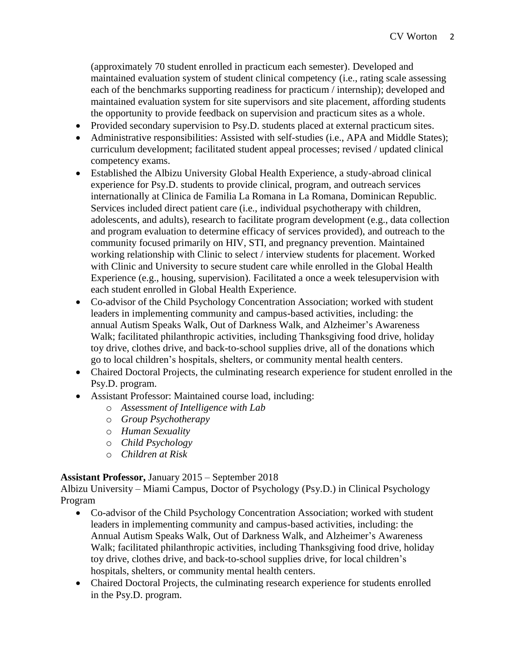(approximately 70 student enrolled in practicum each semester). Developed and maintained evaluation system of student clinical competency (i.e., rating scale assessing each of the benchmarks supporting readiness for practicum / internship); developed and maintained evaluation system for site supervisors and site placement, affording students the opportunity to provide feedback on supervision and practicum sites as a whole.

- Provided secondary supervision to Psy.D. students placed at external practicum sites.
- Administrative responsibilities: Assisted with self-studies (i.e., APA and Middle States); curriculum development; facilitated student appeal processes; revised / updated clinical competency exams.
- Established the Albizu University Global Health Experience, a study-abroad clinical experience for Psy.D. students to provide clinical, program, and outreach services internationally at Clinica de Familia La Romana in La Romana, Dominican Republic. Services included direct patient care (i.e., individual psychotherapy with children, adolescents, and adults), research to facilitate program development (e.g., data collection and program evaluation to determine efficacy of services provided), and outreach to the community focused primarily on HIV, STI, and pregnancy prevention. Maintained working relationship with Clinic to select / interview students for placement. Worked with Clinic and University to secure student care while enrolled in the Global Health Experience (e.g., housing, supervision). Facilitated a once a week telesupervision with each student enrolled in Global Health Experience.
- Co-advisor of the Child Psychology Concentration Association; worked with student leaders in implementing community and campus-based activities, including: the annual Autism Speaks Walk, Out of Darkness Walk, and Alzheimer's Awareness Walk; facilitated philanthropic activities, including Thanksgiving food drive, holiday toy drive, clothes drive, and back-to-school supplies drive, all of the donations which go to local children's hospitals, shelters, or community mental health centers.
- Chaired Doctoral Projects, the culminating research experience for student enrolled in the Psy.D. program.
- Assistant Professor: Maintained course load, including:
	- o *Assessment of Intelligence with Lab*
	- o *Group Psychotherapy*
	- o *Human Sexuality*
	- o *Child Psychology*
	- o *Children at Risk*

### **Assistant Professor,** January 2015 – September 2018

Albizu University – Miami Campus, Doctor of Psychology (Psy.D.) in Clinical Psychology Program

- Co-advisor of the Child Psychology Concentration Association; worked with student leaders in implementing community and campus-based activities, including: the Annual Autism Speaks Walk, Out of Darkness Walk, and Alzheimer's Awareness Walk; facilitated philanthropic activities, including Thanksgiving food drive, holiday toy drive, clothes drive, and back-to-school supplies drive, for local children's hospitals, shelters, or community mental health centers.
- Chaired Doctoral Projects, the culminating research experience for students enrolled in the Psy.D. program.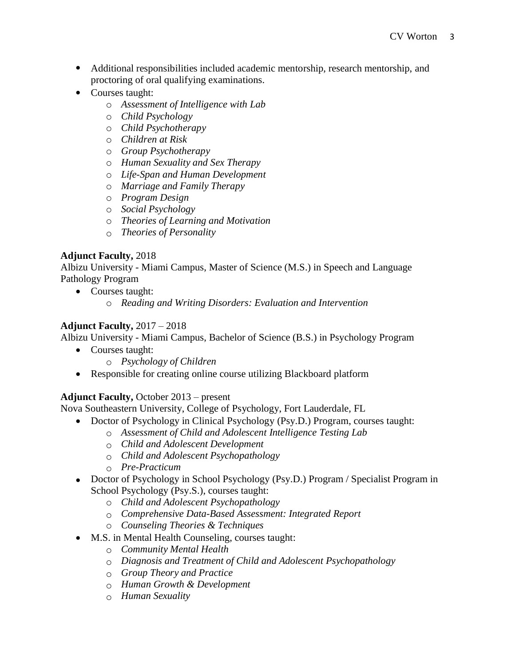- Additional responsibilities included academic mentorship, research mentorship, and proctoring of oral qualifying examinations.
- Courses taught:
	- o *Assessment of Intelligence with Lab*
	- o *Child Psychology*
	- o *Child Psychotherapy*
	- o *Children at Risk*
	- o *Group Psychotherapy*
	- o *Human Sexuality and Sex Therapy*
	- o *Life-Span and Human Development*
	- o *Marriage and Family Therapy*
	- o *Program Design*
	- o *Social Psychology*
	- o *Theories of Learning and Motivation*
	- o *Theories of Personality*

### **Adjunct Faculty,** 2018

Albizu University - Miami Campus, Master of Science (M.S.) in Speech and Language Pathology Program

- Courses taught:
	- o *Reading and Writing Disorders: Evaluation and Intervention*

### **Adjunct Faculty,** 2017 – 2018

Albizu University - Miami Campus, Bachelor of Science (B.S.) in Psychology Program

- Courses taught:
	- o *Psychology of Children*
- Responsible for creating online course utilizing Blackboard platform

### **Adjunct Faculty,** October 2013 – present

Nova Southeastern University, College of Psychology, Fort Lauderdale, FL

- Doctor of Psychology in Clinical Psychology (Psy.D.) Program, courses taught:
	- o *Assessment of Child and Adolescent Intelligence Testing Lab*
	- o *Child and Adolescent Development*
	- o *Child and Adolescent Psychopathology*
	- o *Pre-Practicum*
- Doctor of Psychology in School Psychology (Psy.D.) Program / Specialist Program in School Psychology (Psy.S.), courses taught:
	- o *Child and Adolescent Psychopathology*
	- o *Comprehensive Data-Based Assessment: Integrated Report*
	- o *Counseling Theories & Techniques*
- M.S. in Mental Health Counseling, courses taught:
	- o *Community Mental Health*
	- o *Diagnosis and Treatment of Child and Adolescent Psychopathology*
	- o *Group Theory and Practice*
	- o *Human Growth & Development*
	- o *Human Sexuality*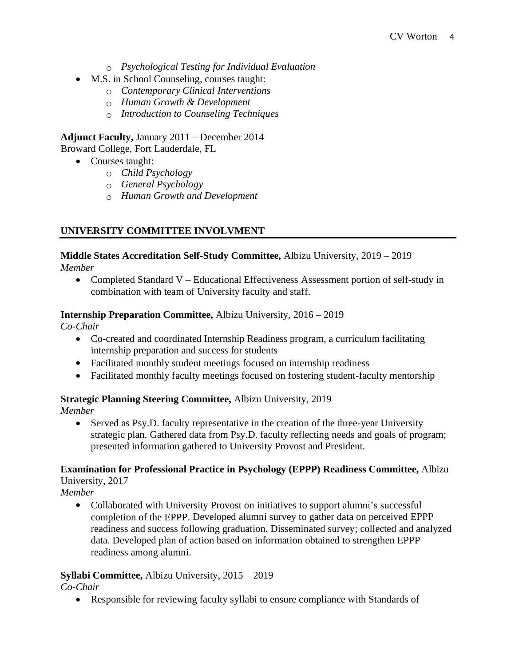- o *Psychological Testing for Individual Evaluation*
- M.S. in School Counseling, courses taught:
	- o *Contemporary Clinical Interventions*
	- o *Human Growth & Development*
	- o *Introduction to Counseling Techniques*

**Adjunct Faculty,** January 2011 – December 2014 Broward College, Fort Lauderdale, FL

- Courses taught:
	- o *Child Psychology*
	- o *General Psychology*
	- o *Human Growth and Development*

### **UNIVERSITY COMMITTEE INVOLVMENT**

### **Middle States Accreditation Self-Study Committee,** Albizu University, 2019 – 2019

*Member*

• Completed Standard V – Educational Effectiveness Assessment portion of self-study in combination with team of University faculty and staff.

#### **Internship Preparation Committee,** Albizu University, 2016 – 2019

*Co-Chair*

- Co-created and coordinated Internship Readiness program, a curriculum facilitating internship preparation and success for students
- Facilitated monthly student meetings focused on internship readiness
- Facilitated monthly faculty meetings focused on fostering student-faculty mentorship

### **Strategic Planning Steering Committee,** Albizu University, 2019

*Member*

• Served as Psy.D. faculty representative in the creation of the three-year University strategic plan. Gathered data from Psy.D. faculty reflecting needs and goals of program; presented information gathered to University Provost and President.

#### **Examination for Professional Practice in Psychology (EPPP) Readiness Committee,** Albizu University, 2017

*Member* 

• Collaborated with University Provost on initiatives to support alumni's successful completion of the EPPP. Developed alumni survey to gather data on perceived EPPP readiness and success following graduation. Disseminated survey; collected and analyzed data. Developed plan of action based on information obtained to strengthen EPPP readiness among alumni.

### **Syllabi Committee,** Albizu University, 2015 – 2019

*Co-Chair* 

• Responsible for reviewing faculty syllabi to ensure compliance with Standards of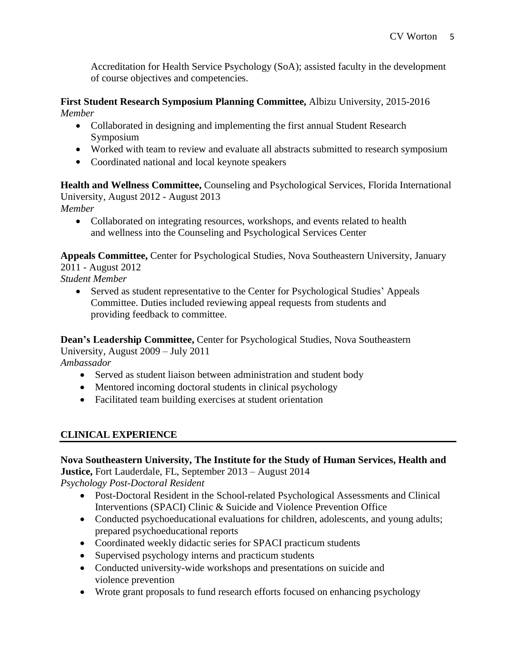Accreditation for Health Service Psychology (SoA); assisted faculty in the development of course objectives and competencies.

#### **First Student Research Symposium Planning Committee,** Albizu University, 2015-2016 *Member*

- Collaborated in designing and implementing the first annual Student Research Symposium
- Worked with team to review and evaluate all abstracts submitted to research symposium
- Coordinated national and local keynote speakers

**Health and Wellness Committee,** Counseling and Psychological Services, Florida International University, August 2012 - August 2013 *Member*

• Collaborated on integrating resources, workshops, and events related to health and wellness into the Counseling and Psychological Services Center

**Appeals Committee,** Center for Psychological Studies, Nova Southeastern University, January 2011 - August 2012

*Student Member*

• Served as student representative to the Center for Psychological Studies' Appeals Committee. Duties included reviewing appeal requests from students and providing feedback to committee.

**Dean's Leadership Committee,** Center for Psychological Studies, Nova Southeastern University, August 2009 – July 2011 *Ambassador*

- Served as student liaison between administration and student body
- Mentored incoming doctoral students in clinical psychology
- Facilitated team building exercises at student orientation

### **CLINICAL EXPERIENCE**

### **Nova Southeastern University, The Institute for the Study of Human Services, Health and Justice,** Fort Lauderdale, FL, September 2013 – August 2014

*Psychology Post-Doctoral Resident*

- Post-Doctoral Resident in the School-related Psychological Assessments and Clinical Interventions (SPACI) Clinic & Suicide and Violence Prevention Office
- Conducted psychoeducational evaluations for children, adolescents, and young adults; prepared psychoeducational reports
- Coordinated weekly didactic series for SPACI practicum students
- Supervised psychology interns and practicum students
- Conducted university-wide workshops and presentations on suicide and violence prevention
- Wrote grant proposals to fund research efforts focused on enhancing psychology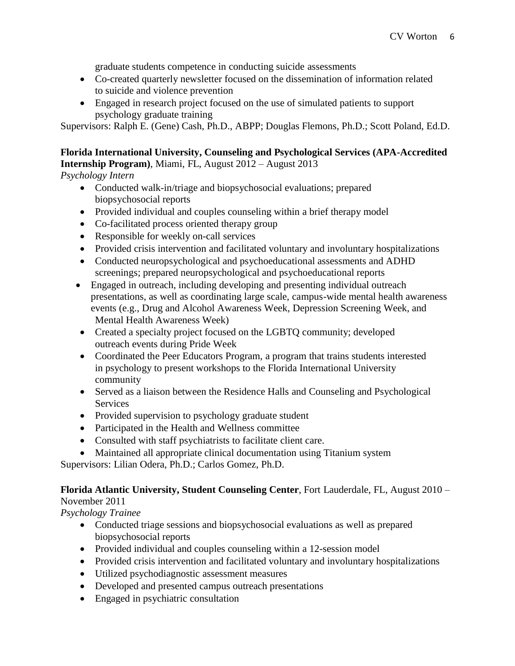graduate students competence in conducting suicide assessments

- Co-created quarterly newsletter focused on the dissemination of information related to suicide and violence prevention
- Engaged in research project focused on the use of simulated patients to support psychology graduate training

Supervisors: Ralph E. (Gene) Cash, Ph.D., ABPP; Douglas Flemons, Ph.D.; Scott Poland, Ed.D.

#### **Florida International University, Counseling and Psychological Services (APA-Accredited Internship Program)**, Miami, FL, August 2012 – August 2013

*Psychology Intern*

- Conducted walk-in/triage and biopsychosocial evaluations; prepared biopsychosocial reports
- Provided individual and couples counseling within a brief therapy model
- Co-facilitated process oriented therapy group
- Responsible for weekly on-call services
- Provided crisis intervention and facilitated voluntary and involuntary hospitalizations
- Conducted neuropsychological and psychoeducational assessments and ADHD screenings; prepared neuropsychological and psychoeducational reports
- Engaged in outreach, including developing and presenting individual outreach presentations, as well as coordinating large scale, campus-wide mental health awareness events (e.g., Drug and Alcohol Awareness Week, Depression Screening Week, and Mental Health Awareness Week)
- Created a specialty project focused on the LGBTQ community; developed outreach events during Pride Week
- Coordinated the Peer Educators Program, a program that trains students interested in psychology to present workshops to the Florida International University community
- Served as a liaison between the Residence Halls and Counseling and Psychological Services
- Provided supervision to psychology graduate student
- Participated in the Health and Wellness committee
- Consulted with staff psychiatrists to facilitate client care.
- Maintained all appropriate clinical documentation using Titanium system

Supervisors: Lilian Odera, Ph.D.; Carlos Gomez, Ph.D.

#### **Florida Atlantic University, Student Counseling Center**, Fort Lauderdale, FL, August 2010 – November 2011

*Psychology Trainee*

- Conducted triage sessions and biopsychosocial evaluations as well as prepared biopsychosocial reports
- Provided individual and couples counseling within a 12-session model
- Provided crisis intervention and facilitated voluntary and involuntary hospitalizations
- Utilized psychodiagnostic assessment measures
- Developed and presented campus outreach presentations
- Engaged in psychiatric consultation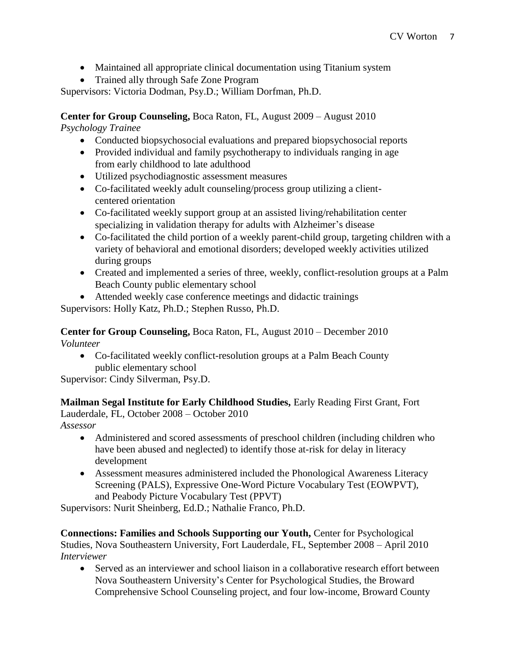- Maintained all appropriate clinical documentation using Titanium system
- Trained ally through Safe Zone Program

Supervisors: Victoria Dodman, Psy.D.; William Dorfman, Ph.D.

**Center for Group Counseling,** Boca Raton, FL, August 2009 – August 2010

*Psychology Trainee*

- Conducted biopsychosocial evaluations and prepared biopsychosocial reports
- Provided individual and family psychotherapy to individuals ranging in age from early childhood to late adulthood
- Utilized psychodiagnostic assessment measures
- Co-facilitated weekly adult counseling/process group utilizing a clientcentered orientation
- Co-facilitated weekly support group at an assisted living/rehabilitation center specializing in validation therapy for adults with Alzheimer's disease
- Co-facilitated the child portion of a weekly parent-child group, targeting children with a variety of behavioral and emotional disorders; developed weekly activities utilized during groups
- Created and implemented a series of three, weekly, conflict-resolution groups at a Palm Beach County public elementary school
- Attended weekly case conference meetings and didactic trainings

Supervisors: Holly Katz, Ph.D.; Stephen Russo, Ph.D.

**Center for Group Counseling,** Boca Raton, FL, August 2010 – December 2010 *Volunteer*

• Co-facilitated weekly conflict-resolution groups at a Palm Beach County public elementary school

Supervisor: Cindy Silverman, Psy.D.

**Mailman Segal Institute for Early Childhood Studies,** Early Reading First Grant, Fort Lauderdale, FL, October 2008 – October 2010

*Assessor*

- Administered and scored assessments of preschool children (including children who have been abused and neglected) to identify those at-risk for delay in literacy development
- Assessment measures administered included the Phonological Awareness Literacy Screening (PALS), Expressive One-Word Picture Vocabulary Test (EOWPVT), and Peabody Picture Vocabulary Test (PPVT)

Supervisors: Nurit Sheinberg, Ed.D.; Nathalie Franco, Ph.D.

**Connections: Families and Schools Supporting our Youth,** Center for Psychological Studies, Nova Southeastern University, Fort Lauderdale, FL, September 2008 – April 2010 *Interviewer*

• Served as an interviewer and school liaison in a collaborative research effort between Nova Southeastern University's Center for Psychological Studies, the Broward Comprehensive School Counseling project, and four low-income, Broward County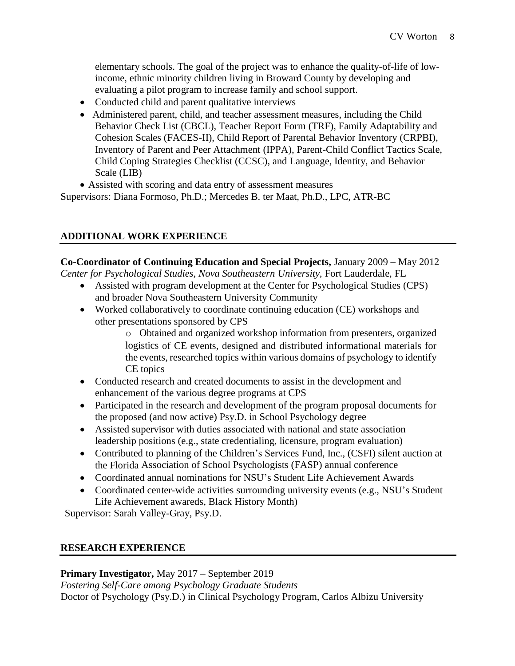elementary schools. The goal of the project was to enhance the quality-of-life of lowincome, ethnic minority children living in Broward County by developing and evaluating a pilot program to increase family and school support.

- Conducted child and parent qualitative interviews
- Administered parent, child, and teacher assessment measures, including the Child Behavior Check List (CBCL), Teacher Report Form (TRF), Family Adaptability and Cohesion Scales (FACES-II), Child Report of Parental Behavior Inventory (CRPBI), Inventory of Parent and Peer Attachment (IPPA), Parent-Child Conflict Tactics Scale, Child Coping Strategies Checklist (CCSC), and Language, Identity, and Behavior Scale (LIB)
- Assisted with scoring and data entry of assessment measures

Supervisors: Diana Formoso, Ph.D.; Mercedes B. ter Maat, Ph.D., LPC, ATR-BC

### **ADDITIONAL WORK EXPERIENCE**

**Co-Coordinator of Continuing Education and Special Projects,** January 2009 – May 2012 *Center for Psychological Studies, Nova Southeastern University,* Fort Lauderdale, FL

- Assisted with program development at the Center for Psychological Studies (CPS) and broader Nova Southeastern University Community
- Worked collaboratively to coordinate continuing education (CE) workshops and other presentations sponsored by CPS

o Obtained and organized workshop information from presenters, organized logistics of CE events, designed and distributed informational materials for the events, researched topics within various domains of psychology to identify CE topics

- Conducted research and created documents to assist in the development and enhancement of the various degree programs at CPS
- Participated in the research and development of the program proposal documents for the proposed (and now active) Psy.D. in School Psychology degree
- Assisted supervisor with duties associated with national and state association leadership positions (e.g., state credentialing, licensure, program evaluation)
- Contributed to planning of the Children's Services Fund, Inc., (CSFI) silent auction at the Florida Association of School Psychologists (FASP) annual conference
- Coordinated annual nominations for NSU's Student Life Achievement Awards
- Coordinated center-wide activities surrounding university events (e.g., NSU's Student Life Achievement awareds, Black History Month)

Supervisor: Sarah Valley-Gray, Psy.D.

### **RESEARCH EXPERIENCE**

**Primary Investigator,** May 2017 – September 2019

*Fostering Self-Care among Psychology Graduate Students* Doctor of Psychology (Psy.D.) in Clinical Psychology Program, Carlos Albizu University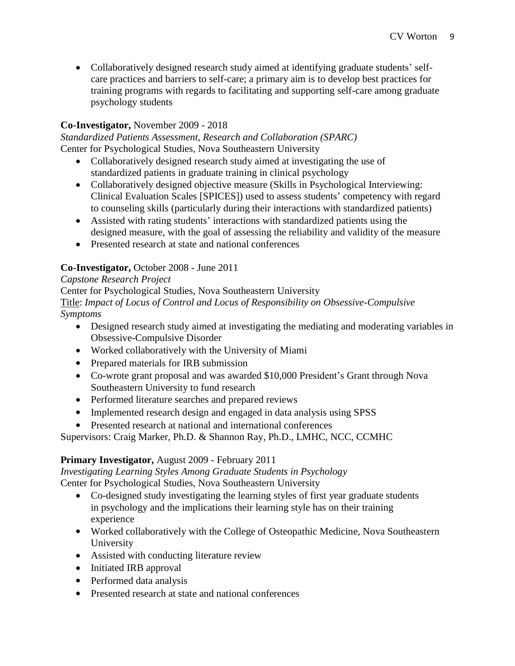• Collaboratively designed research study aimed at identifying graduate students' selfcare practices and barriers to self-care; a primary aim is to develop best practices for training programs with regards to facilitating and supporting self-care among graduate psychology students

### **Co-Investigator,** November 2009 - 2018

*Standardized Patients Assessment, Research and Collaboration (SPARC)* Center for Psychological Studies, Nova Southeastern University

- Collaboratively designed research study aimed at investigating the use of standardized patients in graduate training in clinical psychology
- Collaboratively designed objective measure (Skills in Psychological Interviewing: Clinical Evaluation Scales [SPICES]) used to assess students' competency with regard to counseling skills (particularly during their interactions with standardized patients)
- Assisted with rating students' interactions with standardized patients using the designed measure, with the goal of assessing the reliability and validity of the measure
- Presented research at state and national conferences

### **Co-Investigator,** October 2008 - June 2011

### *Capstone Research Project*

Center for Psychological Studies, Nova Southeastern University

Title: *Impact of Locus of Control and Locus of Responsibility on Obsessive-Compulsive Symptoms*

- Designed research study aimed at investigating the mediating and moderating variables in Obsessive-Compulsive Disorder
- Worked collaboratively with the University of Miami
- Prepared materials for IRB submission
- Co-wrote grant proposal and was awarded \$10,000 President's Grant through Nova Southeastern University to fund research
- Performed literature searches and prepared reviews
- Implemented research design and engaged in data analysis using SPSS
- Presented research at national and international conferences

Supervisors: Craig Marker, Ph.D. & Shannon Ray, Ph.D., LMHC, NCC, CCMHC

### **Primary Investigator,** August 2009 - February 2011

*Investigating Learning Styles Among Graduate Students in Psychology*

Center for Psychological Studies, Nova Southeastern University

- Co-designed study investigating the learning styles of first year graduate students in psychology and the implications their learning style has on their training experience
- Worked collaboratively with the College of Osteopathic Medicine, Nova Southeastern University
- Assisted with conducting literature review
- Initiated IRB approval
- Performed data analysis
- Presented research at state and national conferences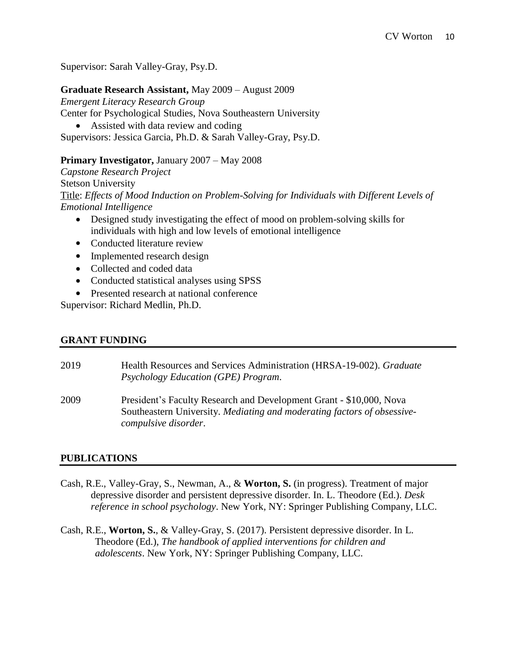Supervisor: Sarah Valley-Gray, Psy.D.

#### **Graduate Research Assistant,** May 2009 – August 2009

*Emergent Literacy Research Group* Center for Psychological Studies, Nova Southeastern University • Assisted with data review and coding Supervisors: Jessica Garcia, Ph.D. & Sarah Valley-Gray, Psy.D.

#### **Primary Investigator,** January 2007 – May 2008

*Capstone Research Project* Stetson University Title: *Effects of Mood Induction on Problem-Solving for Individuals with Different Levels of Emotional Intelligence*

- Designed study investigating the effect of mood on problem-solving skills for individuals with high and low levels of emotional intelligence
- Conducted literature review
- Implemented research design
- Collected and coded data
- Conducted statistical analyses using SPSS
- Presented research at national conference

Supervisor: Richard Medlin, Ph.D.

### **GRANT FUNDING**

| 2019 | Health Resources and Services Administration (HRSA-19-002). Graduate<br>Psychology Education (GPE) Program.                                                            |
|------|------------------------------------------------------------------------------------------------------------------------------------------------------------------------|
| 2009 | President's Faculty Research and Development Grant - \$10,000, Nova<br>Southeastern University. Mediating and moderating factors of obsessive-<br>compulsive disorder. |

### **PUBLICATIONS**

- Cash, R.E., Valley-Gray, S., Newman, A., & **Worton, S.** (in progress). Treatment of major depressive disorder and persistent depressive disorder. In. L. Theodore (Ed.). *Desk reference in school psychology*. New York, NY: Springer Publishing Company, LLC.
- Cash, R.E., **Worton, S.**, & Valley-Gray, S. (2017). Persistent depressive disorder. In L. Theodore (Ed.), *The handbook of applied interventions for children and adolescents*. New York, NY: Springer Publishing Company, LLC.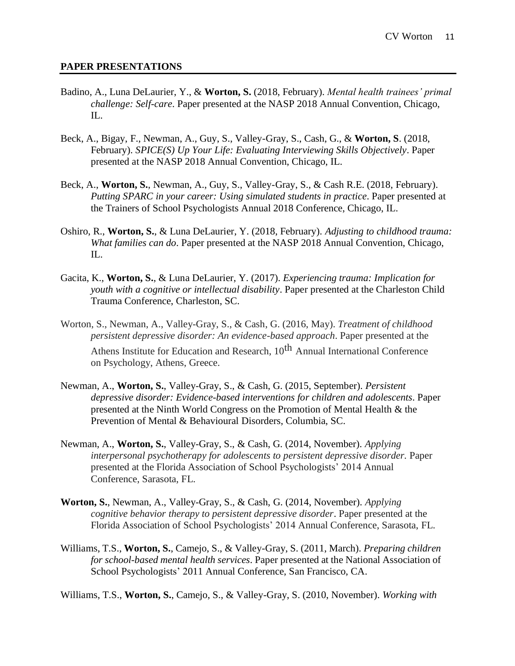#### **PAPER PRESENTATIONS**

- Badino, A., Luna DeLaurier, Y., & **Worton, S.** (2018, February). *Mental health trainees' primal challenge: Self-care*. Paper presented at the NASP 2018 Annual Convention, Chicago, IL.
- Beck, A., Bigay, F., Newman, A., Guy, S., Valley-Gray, S., Cash, G., & **Worton, S**. (2018, February). *SPICE(S) Up Your Life: Evaluating Interviewing Skills Objectively*. Paper presented at the NASP 2018 Annual Convention, Chicago, IL.
- Beck, A., **Worton, S.**, Newman, A., Guy, S., Valley-Gray, S., & Cash R.E. (2018, February). *Putting SPARC in your career: Using simulated students in practice*. Paper presented at the Trainers of School Psychologists Annual 2018 Conference, Chicago, IL.
- Oshiro, R., **Worton, S.**, & Luna DeLaurier, Y. (2018, February). *Adjusting to childhood trauma: What families can do*. Paper presented at the NASP 2018 Annual Convention, Chicago, IL.
- Gacita, K., **Worton, S.**, & Luna DeLaurier, Y. (2017). *Experiencing trauma: Implication for youth with a cognitive or intellectual disability*. Paper presented at the Charleston Child Trauma Conference, Charleston, SC.
- Worton, S., Newman, A., Valley-Gray, S., & Cash, G. (2016, May). *Treatment of childhood persistent depressive disorder: An evidence-based approach*. Paper presented at the Athens Institute for Education and Research, 10<sup>th</sup> Annual International Conference on Psychology, Athens, Greece.
- Newman, A., **Worton, S.**, Valley-Gray, S., & Cash, G. (2015, September). *Persistent depressive disorder: Evidence-based interventions for children and adolescents*. Paper presented at the Ninth World Congress on the Promotion of Mental Health & the Prevention of Mental & Behavioural Disorders, Columbia, SC.
- Newman, A., **Worton, S.**, Valley-Gray, S., & Cash, G. (2014, November). *Applying interpersonal psychotherapy for adolescents to persistent depressive disorder.* Paper presented at the Florida Association of School Psychologists' 2014 Annual Conference, Sarasota, FL.
- **Worton, S.**, Newman, A., Valley-Gray, S., & Cash, G. (2014, November). *Applying cognitive behavior therapy to persistent depressive disorder*. Paper presented at the Florida Association of School Psychologists' 2014 Annual Conference, Sarasota, FL.
- Williams, T.S., **Worton, S.**, Camejo, S., & Valley-Gray, S. (2011, March). *Preparing children for school-based mental health services*. Paper presented at the National Association of School Psychologists' 2011 Annual Conference, San Francisco, CA.

Williams, T.S., **Worton, S.**, Camejo, S., & Valley-Gray, S. (2010, November). *Working with*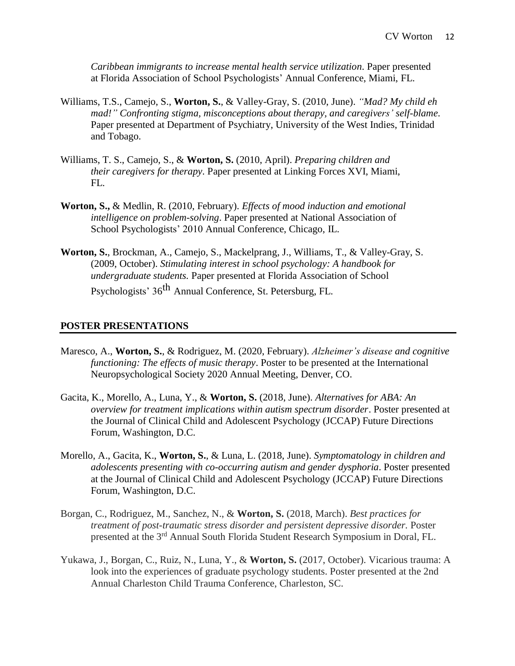*Caribbean immigrants to increase mental health service utilization*. Paper presented at Florida Association of School Psychologists' Annual Conference, Miami, FL.

- Williams, T.S., Camejo, S., **Worton, S.**, & Valley-Gray, S. (2010, June). *"Mad? My child eh mad!" Confronting stigma, misconceptions about therapy, and caregivers' self-blame*. Paper presented at Department of Psychiatry, University of the West Indies, Trinidad and Tobago.
- Williams, T. S., Camejo, S., & **Worton, S.** (2010, April). *Preparing children and their caregivers for therapy*. Paper presented at Linking Forces XVI, Miami, FL.
- **Worton, S.,** & Medlin, R. (2010, February). *Effects of mood induction and emotional intelligence on problem-solving*. Paper presented at National Association of School Psychologists' 2010 Annual Conference, Chicago, IL.
- **Worton, S.**, Brockman, A., Camejo, S., Mackelprang, J., Williams, T., & Valley-Gray, S. (2009, October). *Stimulating interest in school psychology: A handbook for undergraduate students.* Paper presented at Florida Association of School

Psychologists' 36<sup>th</sup> Annual Conference, St. Petersburg, FL.

#### **POSTER PRESENTATIONS**

- Maresco, A., **Worton, S.**, & Rodriguez, M. (2020, February). *Alzheimer's disease and cognitive functioning: The effects of music therapy*. Poster to be presented at the International Neuropsychological Society 2020 Annual Meeting, Denver, CO.
- Gacita, K., Morello, A., Luna, Y., & **Worton, S.** (2018, June). *Alternatives for ABA: An overview for treatment implications within autism spectrum disorder*. Poster presented at the Journal of Clinical Child and Adolescent Psychology (JCCAP) Future Directions Forum, Washington, D.C.
- Morello, A., Gacita, K., **Worton, S.**, & Luna, L. (2018, June). *Symptomatology in children and adolescents presenting with co-occurring autism and gender dysphoria*. Poster presented at the Journal of Clinical Child and Adolescent Psychology (JCCAP) Future Directions Forum, Washington, D.C.
- Borgan, C., Rodriguez, M., Sanchez, N., & **Worton, S.** (2018, March). *Best practices for treatment of post-traumatic stress disorder and persistent depressive disorder.* Poster presented at the 3<sup>rd</sup> Annual South Florida Student Research Symposium in Doral, FL.
- Yukawa, J., Borgan, C., Ruiz, N., Luna, Y., & **Worton, S.** (2017, October). Vicarious trauma: A look into the experiences of graduate psychology students. Poster presented at the 2nd Annual Charleston Child Trauma Conference, Charleston, SC.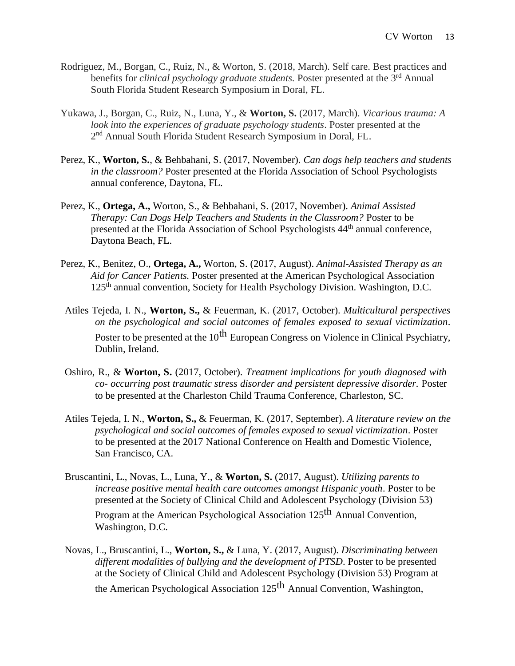- Rodriguez, M., Borgan, C., Ruiz, N., & Worton, S. (2018, March). Self care. Best practices and benefits for *clinical psychology graduate students*. Poster presented at the 3<sup>rd</sup> Annual South Florida Student Research Symposium in Doral, FL.
- Yukawa, J., Borgan, C., Ruiz, N., Luna, Y., & **Worton, S.** (2017, March). *Vicarious trauma: A look into the experiences of graduate psychology students*. Poster presented at the 2<sup>nd</sup> Annual South Florida Student Research Symposium in Doral, FL.
- Perez, K., **Worton, S.**, & Behbahani, S. (2017, November). *Can dogs help teachers and students in the classroom?* Poster presented at the Florida Association of School Psychologists annual conference, Daytona, FL.
- Perez, K., **Ortega, A.,** Worton, S., & Behbahani, S. (2017, November). *Animal Assisted Therapy: Can Dogs Help Teachers and Students in the Classroom?* Poster to be presented at the Florida Association of School Psychologists 44<sup>th</sup> annual conference, Daytona Beach, FL.
- Perez, K., Benitez, O., **Ortega, A.,** Worton, S. (2017, August). *Animal-Assisted Therapy as an Aid for Cancer Patients.* Poster presented at the American Psychological Association 125<sup>th</sup> annual convention, Society for Health Psychology Division. Washington, D.C.
- Atiles Tejeda, I. N., **Worton, S.,** & Feuerman, K. (2017, October). *Multicultural perspectives on the psychological and social outcomes of females exposed to sexual victimization*. Poster to be presented at the 10<sup>th</sup> European Congress on Violence in Clinical Psychiatry, Dublin, Ireland.
- Oshiro, R., & **Worton, S.** (2017, October). *Treatment implications for youth diagnosed with co- occurring post traumatic stress disorder and persistent depressive disorder.* Poster to be presented at the Charleston Child Trauma Conference, Charleston, SC.
- Atiles Tejeda, I. N., **Worton, S.,** & Feuerman, K. (2017, September). *A literature review on the psychological and social outcomes of females exposed to sexual victimization*. Poster to be presented at the 2017 National Conference on Health and Domestic Violence, San Francisco, CA.
- Bruscantini, L., Novas, L., Luna, Y., & **Worton, S.** (2017, August). *Utilizing parents to increase positive mental health care outcomes amongst Hispanic youth*. Poster to be presented at the Society of Clinical Child and Adolescent Psychology (Division 53) Program at the American Psychological Association 125<sup>th</sup> Annual Convention, Washington, D.C.
- Novas, L., Bruscantini, L., **Worton, S.,** & Luna, Y. (2017, August). *Discriminating between different modalities of bullying and the development of PTSD*. Poster to be presented at the Society of Clinical Child and Adolescent Psychology (Division 53) Program at the American Psychological Association 125<sup>th</sup> Annual Convention, Washington,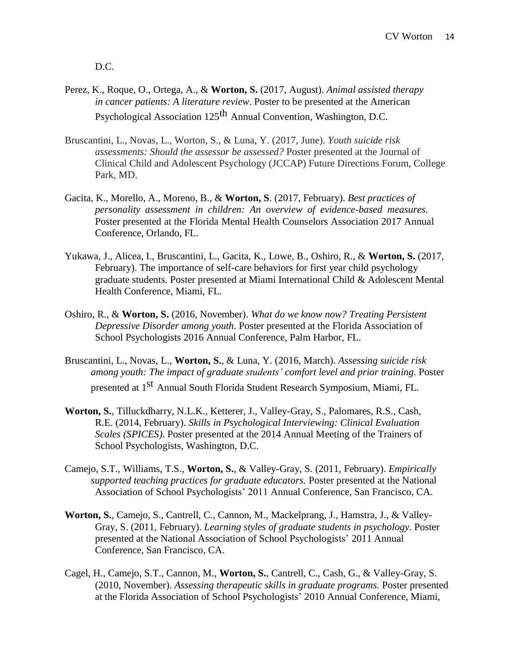D.C.

- Perez, K., Roque, O., Ortega, A., & **Worton, S.** (2017, August). *Animal assisted therapy in cancer patients: A literature review*. Poster to be presented at the American Psychological Association 125<sup>th</sup> Annual Convention, Washington, D.C.
- Bruscantini, L., Novas, L., Worton, S., & Luna, Y. (2017, June). *Youth suicide risk assessments: Should the assessor be assessed?* Poster presented at the Journal of Clinical Child and Adolescent Psychology (JCCAP) Future Directions Forum, College Park, MD.
- Gacita, K., Morello, A., Moreno, B., & **Worton, S**. (2017, February). *Best practices of personality assessment in children: An overview of evidence-based measures*. Poster presented at the Florida Mental Health Counselors Association 2017 Annual Conference, Orlando, FL.
- Yukawa, J., Alicea, I., Bruscantini, L., Gacita, K., Lowe, B., Oshiro, R., & **Worton, S.** (2017, February). The importance of self-care behaviors for first year child psychology graduate students. Poster presented at Miami International Child & Adolescent Mental Health Conference, Miami, FL.
- Oshiro, R., & **Worton, S.** (2016, November). *What do we know now? Treating Persistent Depressive Disorder among youth.* Poster presented at the Florida Association of School Psychologists 2016 Annual Conference, Palm Harbor, FL.
- Bruscantini, L., Novas, L., **Worton, S.**, & Luna, Y. (2016, March). *Assessing suicide risk among youth: The impact of graduate students' comfort level and prior training*. Poster presented at 1<sup>st</sup> Annual South Florida Student Research Symposium, Miami, FL.
- **Worton, S.**, Tilluckdharry, N.L.K., Ketterer, J., Valley-Gray, S., Palomares, R.S., Cash, R.E. (2014, February). *Skills in Psychological Interviewing: Clinical Evaluation Scales (SPICES)*. Poster presented at the 2014 Annual Meeting of the Trainers of School Psychologists, Washington, D.C.
- Camejo, S.T., Williams, T.S., **Worton, S.**, & Valley-Gray, S. (2011, February). *Empirically supported teaching practices for graduate educators.* Poster presented at the National Association of School Psychologists' 2011 Annual Conference, San Francisco, CA.
- **Worton, S.**, Camejo, S., Cantrell, C., Cannon, M., Mackelprang, J., Hamstra, J., & Valley-Gray, S. (2011, February). *Learning styles of graduate students in psychology*. Poster presented at the National Association of School Psychologists' 2011 Annual Conference, San Francisco, CA.
- Cagel, H., Camejo, S.T., Cannon, M., **Worton, S.**, Cantrell, C., Cash, G., & Valley-Gray, S. (2010, November). *Assessing therapeutic skills in graduate programs.* Poster presented at the Florida Association of School Psychologists' 2010 Annual Conference, Miami,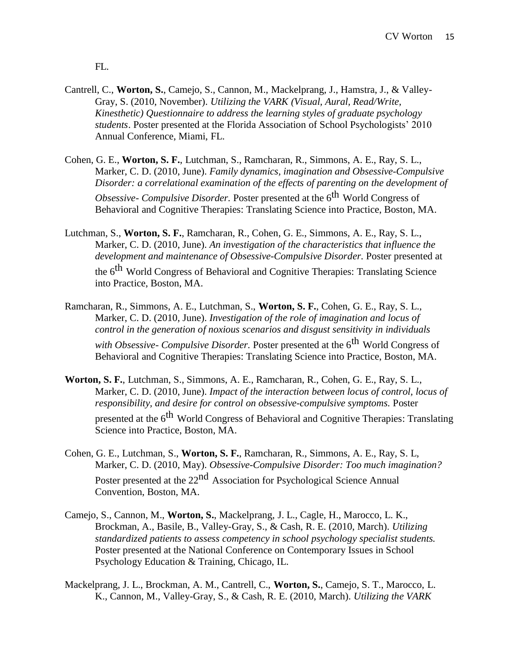FL.

- Cantrell, C., **Worton, S.**, Camejo, S., Cannon, M., Mackelprang, J., Hamstra, J., & Valley-Gray, S. (2010, November). *Utilizing the VARK (Visual, Aural, Read/Write, Kinesthetic) Questionnaire to address the learning styles of graduate psychology students*. Poster presented at the Florida Association of School Psychologists' 2010 Annual Conference, Miami, FL.
- Cohen, G. E., **Worton, S. F.**, Lutchman, S., Ramcharan, R., Simmons, A. E., Ray, S. L., Marker, C. D. (2010, June). *Family dynamics, imagination and Obsessive-Compulsive Disorder: a correlational examination of the effects of parenting on the development of Obsessive- Compulsive Disorder.* Poster presented at the 6 th World Congress of Behavioral and Cognitive Therapies: Translating Science into Practice, Boston, MA.
- Lutchman, S., **Worton, S. F.**, Ramcharan, R., Cohen, G. E., Simmons, A. E., Ray, S. L., Marker, C. D. (2010, June). *An investigation of the characteristics that influence the development and maintenance of Obsessive-Compulsive Disorder.* Poster presented at the 6<sup>th</sup> World Congress of Behavioral and Cognitive Therapies: Translating Science into Practice, Boston, MA.
- Ramcharan, R., Simmons, A. E., Lutchman, S., **Worton, S. F.**, Cohen, G. E., Ray, S. L., Marker, C. D. (2010, June). *Investigation of the role of imagination and locus of control in the generation of noxious scenarios and disgust sensitivity in individuals with Obsessive- Compulsive Disorder.* Poster presented at the 6 th World Congress of Behavioral and Cognitive Therapies: Translating Science into Practice, Boston, MA.
- **Worton, S. F.**, Lutchman, S., Simmons, A. E., Ramcharan, R., Cohen, G. E., Ray, S. L., Marker, C. D. (2010, June). *Impact of the interaction between locus of control, locus of responsibility, and desire for control on obsessive-compulsive symptoms.* Poster presented at the 6<sup>th</sup> World Congress of Behavioral and Cognitive Therapies: Translating Science into Practice, Boston, MA.
- Cohen, G. E., Lutchman, S., **Worton, S. F.**, Ramcharan, R., Simmons, A. E., Ray, S. L, Marker, C. D. (2010, May). *Obsessive-Compulsive Disorder: Too much imagination?* Poster presented at the 22<sup>nd</sup> Association for Psychological Science Annual Convention, Boston, MA.
- Camejo, S., Cannon, M., **Worton, S.**, Mackelprang, J. L., Cagle, H., Marocco, L. K., Brockman, A., Basile, B., Valley-Gray, S., & Cash, R. E. (2010, March). *Utilizing standardized patients to assess competency in school psychology specialist students.* Poster presented at the National Conference on Contemporary Issues in School Psychology Education & Training, Chicago, IL.
- Mackelprang, J. L., Brockman, A. M., Cantrell, C., **Worton, S.**, Camejo, S. T., Marocco, L. K., Cannon, M., Valley-Gray, S., & Cash, R. E. (2010, March). *Utilizing the VARK*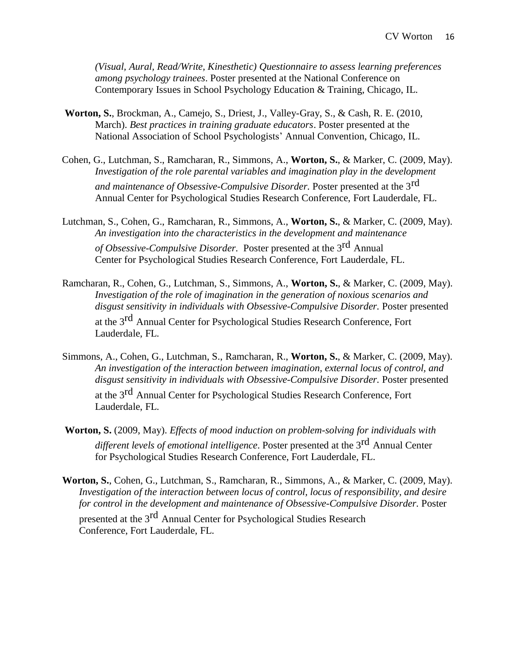*(Visual, Aural, Read/Write, Kinesthetic) Questionnaire to assess learning preferences among psychology trainees*. Poster presented at the National Conference on Contemporary Issues in School Psychology Education & Training, Chicago, IL.

- **Worton, S.**, Brockman, A., Camejo, S., Driest, J., Valley-Gray, S., & Cash, R. E. (2010, March). *Best practices in training graduate educators*. Poster presented at the National Association of School Psychologists' Annual Convention, Chicago, IL.
- Cohen, G., Lutchman, S., Ramcharan, R., Simmons, A., **Worton, S.**, & Marker, C. (2009, May). *Investigation of the role parental variables and imagination play in the development and maintenance of Obsessive-Compulsive Disorder.* Poster presented at the 3 rd Annual Center for Psychological Studies Research Conference, Fort Lauderdale, FL.
- Lutchman, S., Cohen, G., Ramcharan, R., Simmons, A., **Worton, S.**, & Marker, C. (2009, May). *An investigation into the characteristics in the development and maintenance of Obsessive-Compulsive Disorder.* Poster presented at the 3 rd Annual Center for Psychological Studies Research Conference, Fort Lauderdale, FL.
- Ramcharan, R., Cohen, G., Lutchman, S., Simmons, A., **Worton, S.**, & Marker, C. (2009, May). *Investigation of the role of imagination in the generation of noxious scenarios and disgust sensitivity in individuals with Obsessive-Compulsive Disorder.* Poster presented at the 3rd Annual Center for Psychological Studies Research Conference, Fort Lauderdale, FL.
- Simmons, A., Cohen, G., Lutchman, S., Ramcharan, R., **Worton, S.**, & Marker, C. (2009, May). *An investigation of the interaction between imagination, external locus of control, and disgust sensitivity in individuals with Obsessive-Compulsive Disorder.* Poster presented at the 3rd Annual Center for Psychological Studies Research Conference, Fort Lauderdale, FL.
- **Worton, S.** (2009, May). *Effects of mood induction on problem-solving for individuals with different levels of emotional intelligence*. Poster presented at the 3 rd Annual Center for Psychological Studies Research Conference, Fort Lauderdale, FL.
- **Worton, S.**, Cohen, G., Lutchman, S., Ramcharan, R., Simmons, A., & Marker, C. (2009, May). *Investigation of the interaction between locus of control, locus of responsibility, and desire for control in the development and maintenance of Obsessive-Compulsive Disorder.* Poster

presented at the 3<sup>rd</sup> Annual Center for Psychological Studies Research Conference, Fort Lauderdale, FL.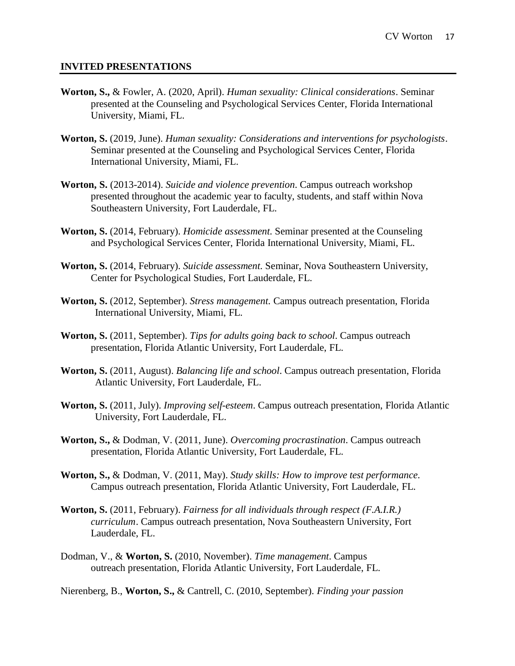#### **INVITED PRESENTATIONS**

- **Worton, S.,** & Fowler, A. (2020, April). *Human sexuality: Clinical considerations*. Seminar presented at the Counseling and Psychological Services Center, Florida International University, Miami, FL.
- **Worton, S.** (2019, June). *Human sexuality: Considerations and interventions for psychologists*. Seminar presented at the Counseling and Psychological Services Center, Florida International University, Miami, FL.
- **Worton, S.** (2013-2014). *Suicide and violence prevention*. Campus outreach workshop presented throughout the academic year to faculty, students, and staff within Nova Southeastern University, Fort Lauderdale, FL.
- **Worton, S.** (2014, February). *Homicide assessment*. Seminar presented at the Counseling and Psychological Services Center, Florida International University, Miami, FL.
- **Worton, S.** (2014, February). *Suicide assessment*. Seminar, Nova Southeastern University, Center for Psychological Studies, Fort Lauderdale, FL.
- **Worton, S.** (2012, September). *Stress management*. Campus outreach presentation, Florida International University, Miami, FL.
- **Worton, S.** (2011, September). *Tips for adults going back to school*. Campus outreach presentation, Florida Atlantic University, Fort Lauderdale, FL.
- **Worton, S.** (2011, August). *Balancing life and school*. Campus outreach presentation, Florida Atlantic University, Fort Lauderdale, FL.
- **Worton, S.** (2011, July). *Improving self-esteem*. Campus outreach presentation, Florida Atlantic University, Fort Lauderdale, FL.
- **Worton, S.,** & Dodman, V. (2011, June). *Overcoming procrastination*. Campus outreach presentation, Florida Atlantic University, Fort Lauderdale, FL.
- **Worton, S.,** & Dodman, V. (2011, May). *Study skills: How to improve test performance*. Campus outreach presentation, Florida Atlantic University, Fort Lauderdale, FL.
- **Worton, S.** (2011, February). *Fairness for all individuals through respect (F.A.I.R.) curriculum*. Campus outreach presentation, Nova Southeastern University, Fort Lauderdale, FL.
- Dodman, V., & **Worton, S.** (2010, November). *Time management*. Campus outreach presentation, Florida Atlantic University, Fort Lauderdale, FL.

Nierenberg, B., **Worton, S.,** & Cantrell, C. (2010, September). *Finding your passion*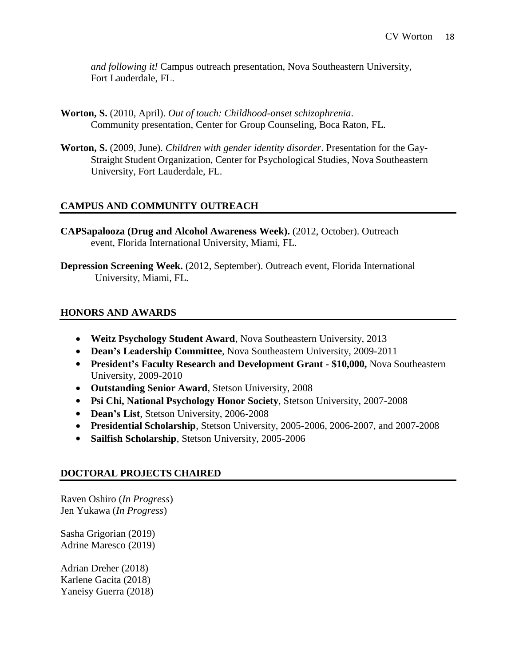*and following it!* Campus outreach presentation, Nova Southeastern University, Fort Lauderdale, FL.

- **Worton, S.** (2010, April). *Out of touch: Childhood-onset schizophrenia*. Community presentation, Center for Group Counseling, Boca Raton, FL.
- **Worton, S.** (2009, June). *Children with gender identity disorder*. Presentation for the Gay-Straight Student Organization, Center for Psychological Studies, Nova Southeastern University, Fort Lauderdale, FL.

### **CAMPUS AND COMMUNITY OUTREACH**

- **CAPSapalooza (Drug and Alcohol Awareness Week).** (2012, October). Outreach event, Florida International University, Miami, FL.
- **Depression Screening Week.** (2012, September). Outreach event, Florida International University, Miami, FL.

#### **HONORS AND AWARDS**

- **Weitz Psychology Student Award**, Nova Southeastern University, 2013
- **Dean's Leadership Committee**, Nova Southeastern University, 2009-2011
- **President's Faculty Research and Development Grant - \$10,000,** Nova Southeastern University, 2009-2010
- **Outstanding Senior Award**, Stetson University, 2008
- **Psi Chi, National Psychology Honor Society**, Stetson University, 2007-2008
- **Dean's List**, Stetson University, 2006-2008
- **Presidential Scholarship**, Stetson University, 2005-2006, 2006-2007, and 2007-2008
- **Sailfish Scholarship**, Stetson University, 2005-2006

#### **DOCTORAL PROJECTS CHAIRED**

Raven Oshiro (*In Progress*) Jen Yukawa (*In Progress*)

Sasha Grigorian (2019) Adrine Maresco (2019)

Adrian Dreher (2018) Karlene Gacita (2018) Yaneisy Guerra (2018)